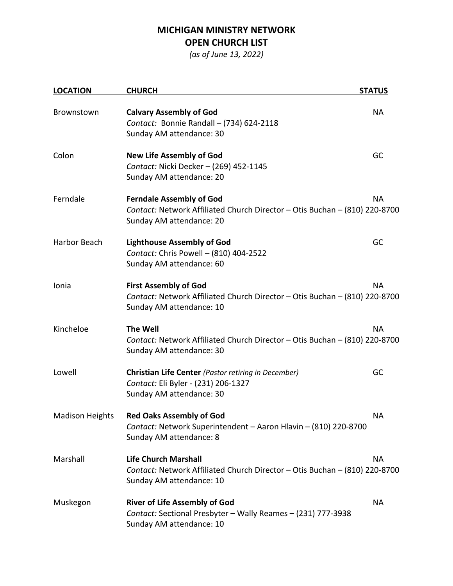## **MICHIGAN MINISTRY NETWORK OPEN CHURCH LIST**

*(as of June 13, 2022)*

| <b>LOCATION</b>        | <b>CHURCH</b>                                                                                                                                          | <b>STATUS</b> |
|------------------------|--------------------------------------------------------------------------------------------------------------------------------------------------------|---------------|
| Brownstown             | <b>Calvary Assembly of God</b><br>Contact: Bonnie Randall - (734) 624-2118<br>Sunday AM attendance: 30                                                 | <b>NA</b>     |
| Colon                  | <b>New Life Assembly of God</b><br>Contact: Nicki Decker - (269) 452-1145<br>Sunday AM attendance: 20                                                  | GC            |
| Ferndale               | <b>NA</b><br><b>Ferndale Assembly of God</b><br>Contact: Network Affiliated Church Director - Otis Buchan - (810) 220-8700<br>Sunday AM attendance: 20 |               |
| Harbor Beach           | <b>Lighthouse Assembly of God</b><br>Contact: Chris Powell - (810) 404-2522<br>Sunday AM attendance: 60                                                | GC            |
| Ionia                  | <b>First Assembly of God</b><br><b>NA</b><br>Contact: Network Affiliated Church Director - Otis Buchan - (810) 220-8700<br>Sunday AM attendance: 10    |               |
| Kincheloe              | <b>The Well</b><br>Contact: Network Affiliated Church Director - Otis Buchan - (810) 220-8700<br>Sunday AM attendance: 30                              | <b>NA</b>     |
| Lowell                 | Christian Life Center (Pastor retiring in December)<br>Contact: Eli Byler - (231) 206-1327<br>Sunday AM attendance: 30                                 | GC            |
| <b>Madison Heights</b> | <b>Red Oaks Assembly of God</b><br>Contact: Network Superintendent - Aaron Hlavin - (810) 220-8700<br>Sunday AM attendance: 8                          | <b>NA</b>     |
| Marshall               | <b>Life Church Marshall</b><br>Contact: Network Affiliated Church Director - Otis Buchan - (810) 220-8700<br>Sunday AM attendance: 10                  | <b>NA</b>     |
| Muskegon               | <b>River of Life Assembly of God</b><br>Contact: Sectional Presbyter - Wally Reames - (231) 777-3938<br>Sunday AM attendance: 10                       | <b>NA</b>     |